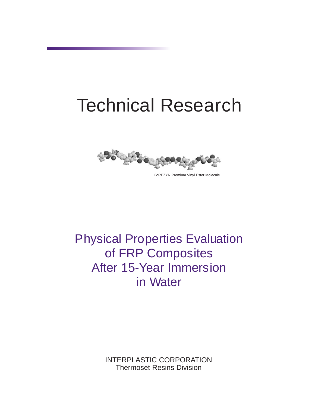# Technical Research



Physical Properties Evaluation of FRP Composites After 15-Year Immersion in Water

> INTERPLASTIC CORPORATION Thermoset Resins Division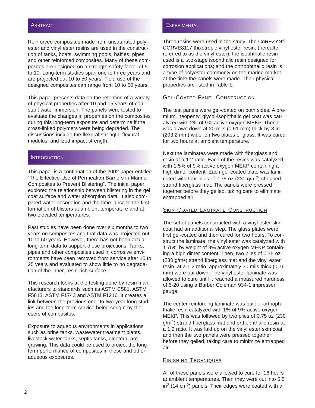#### ABSTRACT

Reinforced composites made from unsaturated polyester and vinyl ester resins are used in the construction of tanks, boats, swimming pools, baffles, pipes, and other reinforced composites. Many of these composites are designed on a strength safety factor of 5 to 10. Long-term studies span one to three years and are projected out 10 to 50 years. Field use of the designed composites can range from 10 to 50 years.

This paper presents data on the retention of a variety of physical properties after 10 and 15 years of constant water immersion. The panels were tested to evaluate the changes in properties on the composites during this long-term exposure and determine if the cross-linked polymers were being degraded. The discussions include the flexural strength, flexural modulus, and Izod impact strength.

## **INTRODUCTION**

This paper is a continuation of the 2002 paper entitled "The Effective Use of Permeation Barriers in Marine Composites to Prevent Blistering". The initial paper explored the relationship between blistering in the gel coat surface and water absorption data. It also compared water absorption and the time lapse to the first formation of blisters at ambient temperature and at two elevated temperatures.

Past studies have been done over six months to two years on composites and that data was projected out 10 to 50 years. However, there has not been actual long-term data to support those projections. Tanks, pipes and other composites used in corrosive environments have been removed from service after 10 to 25 years and evaluated to show little to no degradation of the inner, resin-rich surface.

This research looks at the testing done by resin manufacturers to standards such as ASTM C581, ASTM F5813, ASTM F1743 and ASTM F1216. It creates a link between the previous one- to two-year-long studies and the long-term service being sought by the users of composites.

Exposure to aqueous environments in applications such as brine tanks, wastewater treatment plants, livestock water tanks, septic tanks, etcetera, are growing. This data could be used to project the longterm performance of composites in these and other aqueous exposures.

#### **EXPERIMENTAL**

Three resins were used in the study. The  $CoREZYN^{\circledR}$ CORVE8117 thixotropic vinyl ester resin, (hereafter referred to as the vinyl ester), the isophthalic resin used is a two-stage isophthalic resin designed for corrosion applications; and the orthophthalic resin is a type of polyester commonly on the marine market at the time the panels were made. Their physical properties are listed in Table 1.

#### GEL-COATED PANEL CONSTRUCTION

The test panels were gel-coated on both sides. A premium, neopentyl glycol-isophthalic gel coat was catalyzed with 2% of 9% active oxygen MEKP. Then it was drawn down at 20 mils (0.51 mm) thick by 8 in. (203.2 mm) wide, on two plates of glass. It was cured for two hours at ambient temperature.

Next the laminates were made with fiberglass and resin at a 1:2 ratio. Each of the resins was catalyzed with 1.5% of 9% active oxygen MEKP containing a high dimer content. Each gel-coated plate was laminated with four plies of 0.75-oz (230 g/m2) chopped strand fiberglass mat. The panels were pressed together before they gelled, taking care to eliminate entrapped air.

### **SKIN-COATED LAMINATE CONSTRUCTION**

The set of panels constructed with a vinyl ester skin coat had an additional step. The glass plates were first gel-coated and then cured for two hours. To construct the laminate, the vinyl ester was catalyzed with 1.75% by weight of 9% active oxygen MEKP containing a high dimer content. Then, two plies of 0.75 oz (230 g/m2) strand fiberglass mat and the vinyl ester resin, at a 1:2 ratio, approximately 30 mils thick (0.76 mm) were put down. The vinyl ester laminate was allowed to cure until it reached a measured hardness of 5-20 using a Barber Coleman 934-1 impressor gauge.

The center reinforcing laminate was built of orthophthalic resin catalyzed with 1% of 9% active oxygen MEKP. This was followed by two plies of 0.75 oz (230 g/m2) strand fiberglass mat and orthophthalic resin at a 1:2 ratio. It was laid up on the vinyl ester skin coat and then the two panels were pressed together before they gelled, taking care to minimize entrapped air.

#### FINISHING TECHNIQUES

All of these panels were allowed to cure for 16 hours at ambient temperatures. Then they were cut into 5.5 in2 (14 cm2) panels. Their edges were coated with a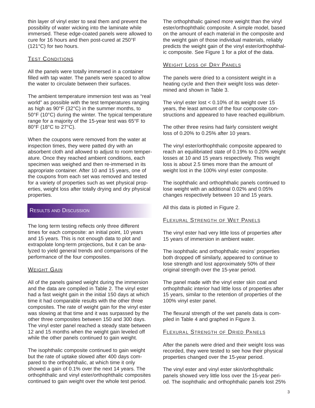thin layer of vinyl ester to seal them and prevent the possibility of water wicking into the laminate while immersed. These edge-coated panels were allowed to cure for 16 hours and then post-cured at 250°F (121°C) for two hours.

## TEST CONDITIONS

All the panels were totally immersed in a container filled with tap water. The panels were spaced to allow the water to circulate between their surfaces.

The ambient temperature immersion test was as "real world" as possible with the test temperatures ranging as high as 90°F (32°C) in the summer months, to 50°F (10°C) during the winter. The typical temperature range for a majority of the 15-year test was 65°F to 80°F (18°C to 27°C).

When the coupons were removed from the water at inspection times, they were patted dry with an absorbent cloth and allowed to adjust to room temperature. Once they reached ambient conditions, each specimen was weighed and then re-immersed in its appropriate container. After 10 and 15 years, one of the coupons from each set was removed and tested for a variety of properties such as wet physical properties, weight loss after totally drying and dry physical properties.

## RESULTS AND DISCUSSION

The long term testing reflects only three different times for each composite: an initial point, 10 years and 15 years. This is not enough data to plot and extrapolate long-term projections, but it can be analyzed to yield general trends and comparisons of the performance of the four composites.

## **WEIGHT GAIN**

All of the panels gained weight during the immersion and the data are compiled in Table 2. The vinyl ester had a fast weight gain in the initial 150 days at which time it had comparable results with the other three composites. The rate of weight gain for the vinyl ester was slowing at that time and it was surpassed by the other three composites between 150 and 300 days. The vinyl ester panel reached a steady state between 12 and 15 months when the weight gain leveled off while the other panels continued to gain weight.

The isophthalic composite continued to gain weight but the rate of uptake slowed after 400 days compared to the orthophthalic, at which time it only showed a gain of 0.1% over the next 14 years. The orthophthalic and vinyl ester/orthophthalic composites continued to gain weight over the whole test period.

The orthophthalic gained more weight than the vinyl ester/orthophthalic composite. A simple model, based on the amount of each material in the composite and the weight gain of those individual materials, reliably predicts the weight gain of the vinyl ester/orthophthalic composite. See Figure 1 for a plot of the data.

## WEIGHT LOSS OF DRY PANELS

The panels were dried to a consistent weight in a heating cycle and then their weight loss was determined and shown in Table 3.

The vinyl ester lost  $< 0.10\%$  of its weight over 15 years, the least amount of the four composite constructions and appeared to have reached equilibrium.

The other three resins had fairly consistent weight loss of 0.20% to 0.25% after 10 years.

The vinyl ester/orthophthalic composite appeared to reach an equilibriated state of 0.19% to 0.20% weight losses at 10 and 15 years respectively. This weight loss is about 2.5 times more than the amount of weight lost in the 100% vinyl ester composite.

The isophthalic and orthophthalic panels continued to lose weight with an additional 0.02% and 0.05% changes respectively between 10 and 15 years.

All this data is plotted in Figure 2.

## FLEXURAL STRENGTH OF WET PANELS

The vinyl ester had very little loss of properties after 15 years of immersion in ambient water.

The isophthalic and orthophthalic resins' properties both dropped off similarly, appeared to continue to lose strength and lost approximately 50% of their original strength over the 15-year period.

The panel made with the vinyl ester skin coat and orthophthalic interior had little loss of properties after 15 years, similar to the retention of properties of the 100% vinyl ester panel.

The flexural strength of the wet panels data is compiled in Table 4 and graphed in Figure 3.

#### FLEXURAL STRENGTH OF DRIED PANELS

After the panels were dried and their weight loss was recorded, they were tested to see how their physical properties changed over the 15-year period.

The vinyl ester and vinyl ester skin/orthophthalic panels showed very little loss over the 15-year period. The isophthalic and orthophthalic panels lost 25%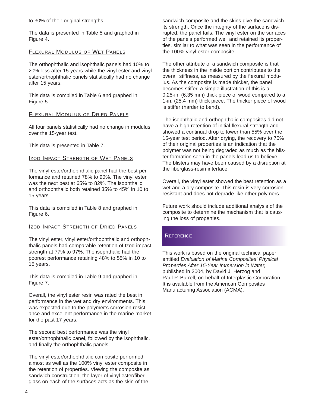to 30% of their original strengths.

The data is presented in Table 5 and graphed in Figure 4.

#### FLEXURAL MODULUS OF WET PANELS

The orthophthalic and isophthalic panels had 10% to 20% loss after 15 years while the vinyl ester and vinyl ester/orthophthalic panels statistically had no change after 15 years.

This data is compiled in Table 6 and graphed in Figure 5.

#### FLEXURAL MODULUS OF DRIED PANELS

All four panels statistically had no change in modulus over the 15-year test.

This data is presented in Table 7.

#### **IZOD IMPACT STRENGTH OF WET PANELS**

The vinyl ester/orthophthalic panel had the best performance and retained 78% to 90%. The vinyl ester was the next best at 65% to 82%. The isophthalic and orthophthalic both retained 35% to 45% in 10 to 15 years.

This data is compiled in Table 8 and graphed in Figure 6.

#### IZOD IMPACT STRENGTH OF DRIED PANELS

The vinyl ester, vinyl ester/orthophthalic and orthophthalic panels had comparable retention of Izod impact strength at 77% to 97%. The isophthalic had the poorest performance retaining 48% to 55% in 10 to 15 years.

This data is compiled in Table 9 and graphed in Figure 7.

Overall, the vinyl ester resin was rated the best in performance in the wet and dry environments. This was expected due to the polymer's corrosion resistance and excellent performance in the marine market for the past 17 years.

The second best performance was the vinyl ester/orthophthalic panel, followed by the isophthalic, and finally the orthophthalic panels.

The vinyl ester/orthophthalic composite performed almost as well as the 100% vinyl ester composite in the retention of properties. Viewing the composite as sandwich construction, the layer of vinyl ester/fiberglass on each of the surfaces acts as the skin of the

sandwich composite and the skins give the sandwich its strength. Once the integrity of the surface is disrupted, the panel fails. The vinyl ester on the surfaces of the panels performed well and retained its properties, similar to what was seen in the performance of the 100% vinyl ester composite.

The other attribute of a sandwich composite is that the thickness in the inside portion contributes to the overall stiffness, as measured by the flexural modulus. As the composite is made thicker, the panel becomes stiffer. A simple illustration of this is a 0.25-in. (6.35 mm) thick piece of wood compared to a 1-in. (25.4 mm) thick piece. The thicker piece of wood is stiffer (harder to bend).

The isophthalic and orthophthalic composites did not have a high retention of initial flexural strength and showed a continual drop to lower than 55% over the 15-year test period. After drying, the recovery to 75% of their original properties is an indication that the polymer was not being degraded as much as the blister formation seen in the panels lead us to believe. The blisters may have been caused by a disruption at the fiberglass-resin interface.

Overall, the vinyl ester showed the best retention as a wet and a dry composite. This resin is very corrosionresistant and does not degrade like other polymers.

Future work should include additional analysis of the composite to determine the mechanism that is causing the loss of properties.

## **REFERENCE**

This work is based on the original technical paper entitled *Evaluation of Marine Composites' Physical Properties After 15-Year Immersion in Water,* published in 2004, by David J. Herzog and Paul P. Burrell, on behalf of Interplastic Corporation. It is available from the American Composites Manufacturing Association (ACMA).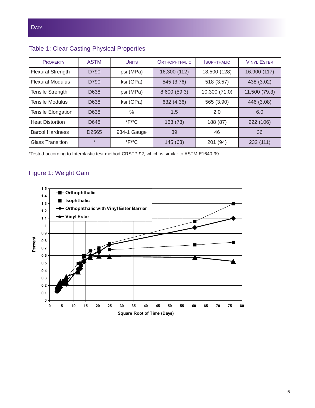| <b>PROPERTY</b>          | <b>ASTM</b>       | <b>UNITS</b>              | <b>ORTHOPHTHALIC</b> | <b>SOPHTHALIC</b> | <b>VINYL ESTER</b> |
|--------------------------|-------------------|---------------------------|----------------------|-------------------|--------------------|
| <b>Flexural Strength</b> | D790              | psi (MPa)                 | 16,300 (112)         | 18,500 (128)      | 16,900 (117)       |
| <b>Flexural Modulus</b>  | D790              | ksi (GPa)                 | 545 (3.76)           | 518 (3.57)        | 438 (3.02)         |
| <b>Tensile Strength</b>  | D638              | psi (MPa)                 | 8,600 (59.3)         | 10,300 (71.0)     | 11,500 (79.3)      |
| <b>Tensile Modulus</b>   | D638              | ksi (GPa)                 | 632 (4.36)           | 565 (3.90)        | 446 (3.08)         |
| Tensile Elongation       | D638              | $\%$                      | 1.5                  | 2.0               | 6.0                |
| <b>Heat Distortion</b>   | D648              | $\mathrm{P}F/\mathrm{P}C$ | 163(73)              | 188 (87)          | 222 (106)          |
| <b>Barcol Hardness</b>   | D <sub>2565</sub> | 934-1 Gauge               | 39                   | 46                | 36                 |
| <b>Glass Transition</b>  | $\star$           | $\mathrm{P}F/\mathrm{P}C$ | 145 (63)             | 201 (94)          | 232 (111)          |

# Table 1: Clear Casting Physical Properties

\*Tested according to Interplastic test method CRSTP 92, which is similar to ASTM E1640-99.

# Figure 1: Weight Gain

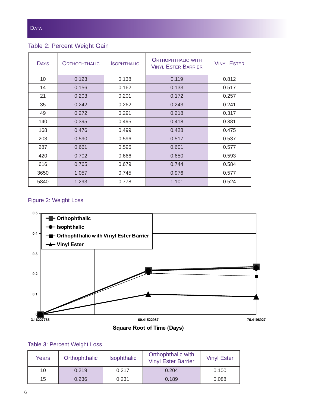Table 2: Percent Weight Gain

| <b>DAYS</b> | <b>ORTHOPHTHALIC</b> | <b>SOPHTHALIC</b> | <b>ORTHOPHTHALIC WITH</b><br><b>VINYL ESTER BARRIER</b> | <b>VINYL ESTER</b> |
|-------------|----------------------|-------------------|---------------------------------------------------------|--------------------|
| 10          | 0.123                | 0.138             | 0.119                                                   | 0.812              |
| 14          | 0.156                | 0.162             | 0.133                                                   | 0.517              |
| 21          | 0.203                | 0.201             | 0.172                                                   | 0.257              |
| 35          | 0.242                | 0.262             | 0.243                                                   | 0.241              |
| 49          | 0.272                | 0.291             | 0.218                                                   | 0.317              |
| 140         | 0.395                | 0.495             | 0.418                                                   | 0.381              |
| 168         | 0.476                | 0.499             | 0.428                                                   | 0.475              |
| 203         | 0.590                | 0.596             | 0.517                                                   | 0.537              |
| 287         | 0.661                | 0.596             | 0.601                                                   | 0.577              |
| 420         | 0.702                | 0.666             | 0.650                                                   | 0.593              |
| 616         | 0.765                | 0.679             | 0.744                                                   | 0.584              |
| 3650        | 1.057                | 0.745             | 0.976                                                   | 0.577              |
| 5840        | 1.293                | 0.778             | 1.101                                                   | 0.524              |

# Figure 2: Weight Loss



# Table 3: Percent Weight Loss

| Years | Orthophthalic | <b>Isophthalic</b> | Orthophthalic with<br><b>Vinyl Ester Barrier</b> | <b>Vinyl Ester</b> |
|-------|---------------|--------------------|--------------------------------------------------|--------------------|
| 10    | 0.219         | 0.217              | 0.204                                            | 0.100              |
| 15    | 0.236         | 0.231              | 0.189                                            | 0.088              |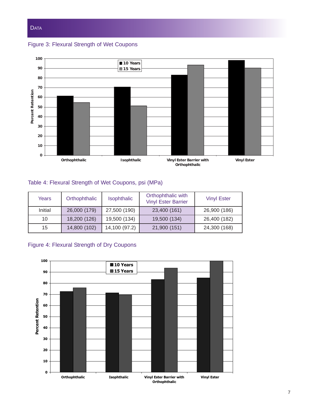

Figure 3: Flexural Strength of Wet Coupons



# Table 4: Flexural Strength of Wet Coupons, psi (MPa)

| Years   | Orthophthalic | <b>Isophthalic</b> | Orthophthalic with<br><b>Vinyl Ester Barrier</b> | <b>Vinyl Ester</b> |
|---------|---------------|--------------------|--------------------------------------------------|--------------------|
| Initial | 26,000 (179)  | 27,500 (190)       | 23,400 (161)                                     | 26,900 (186)       |
| 10      | 18,200 (126)  | 19,500 (134)       | 19,500 (134)                                     | 26,400 (182)       |
| 15      | 14,800 (102)  | 14,100 (97.2)      | 21,900 (151)                                     | 24,300 (168)       |

# Figure 4: Flexural Strength of Dry Coupons

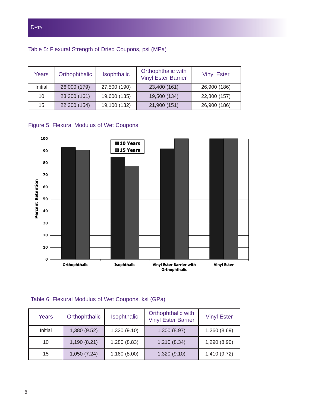Table 5: Flexural Strength of Dried Coupons, psi (MPa)

| Years   | Orthophthalic | <b>Isophthalic</b> | Orthophthalic with<br><b>Vinyl Ester Barrier</b> | <b>Vinyl Ester</b> |
|---------|---------------|--------------------|--------------------------------------------------|--------------------|
| Initial | 26,000 (179)  | 27,500 (190)       | 23,400 (161)                                     | 26,900 (186)       |
| 10      | 23,300 (161)  | 19,600 (135)       | 19,500 (134)                                     | 22,800 (157)       |
| 15      | 22,300 (154)  | 19,100 (132)       | 21,900 (151)                                     | 26,900 (186)       |

# Figure 5: Flexural Modulus of Wet Coupons



# Table 6: Flexural Modulus of Wet Coupons, ksi (GPa)

| Years   | Orthophthalic | <b>Isophthalic</b> | Orthophthalic with<br><b>Vinyl Ester Barrier</b> | <b>Vinyl Ester</b> |
|---------|---------------|--------------------|--------------------------------------------------|--------------------|
| Initial | 1,380 (9.52)  | 1,320 (9.10)       | 1,300 (8.97)                                     | 1,260 (8.69)       |
| 10      | 1,190(8.21)   | 1,280 (8.83)       | 1,210 (8.34)                                     | 1,290 (8.90)       |
| 15      | 1,050 (7.24)  | 1,160(8.00)        | 1,320 (9.10)                                     | 1,410 (9.72)       |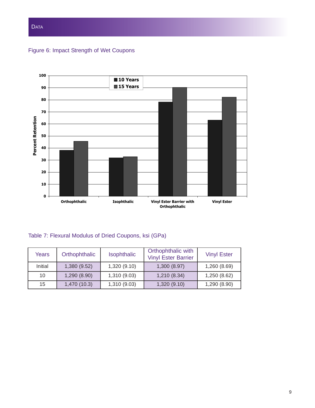

Figure 6: Impact Strength of Wet Coupons



Table 7: Flexural Modulus of Dried Coupons, ksi (GPa)

| Years   | Orthophthalic | Isophthalic  | Orthophthalic with<br><b>Vinyl Ester Barrier</b> | <b>Vinyl Ester</b> |
|---------|---------------|--------------|--------------------------------------------------|--------------------|
| Initial | 1,380 (9.52)  | 1,320 (9.10) | 1,300 (8.97)                                     | 1,260 (8.69)       |
| 10      | 1,290(8.90)   | 1,310 (9.03) | 1,210 (8.34)                                     | 1,250 (8.62)       |
| 15      | 1,470 (10.3)  | 1,310 (9.03) | 1,320 (9.10)                                     | 1,290 (8.90)       |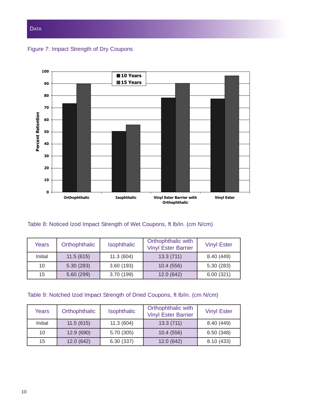## **DATA**

Figure 7: Impact Strength of Dry Coupons



## Table 8: Noticed Izod Impact Strength of Wet Coupons, ft lb/in. (cm N/cm)

| Years   | Orthophthalic | <b>Isophthalic</b> | Orthophthalic with<br><b>Vinyl Ester Barrier</b> | <b>Vinyl Ester</b> |
|---------|---------------|--------------------|--------------------------------------------------|--------------------|
| Initial | 11.5(615)     | 11.3(604)          | 13.3(711)                                        | 8.40 (449)         |
| 10      | 5.30(283)     | 3.60(193)          | 10.4 (556)                                       | 5.30(283)          |
| 15      | 5.60(299)     | 3.70 (199)         | 12.0 (642)                                       | 6.00(321)          |

# Table 9: Notched Izod Impact Strength of Dried Coupons, ft lb/in. (cm N/cm)

| Years   | Orthophthalic | <b>Isophthalic</b> | Orthophthalic with<br><b>Vinyl Ester Barrier</b> | <b>Vinyl Ester</b> |
|---------|---------------|--------------------|--------------------------------------------------|--------------------|
| Initial | 11.5(615)     | 11.3(604)          | 13.3(711)                                        | 8.40 (449)         |
| 10      | 12.9 (690)    | 5.70 (305)         | 10.4(556)                                        | 6.50(348)          |
| 15      | 12.0 (642)    | 6.30(337)          | 12.0(642)                                        | 8.10(433)          |